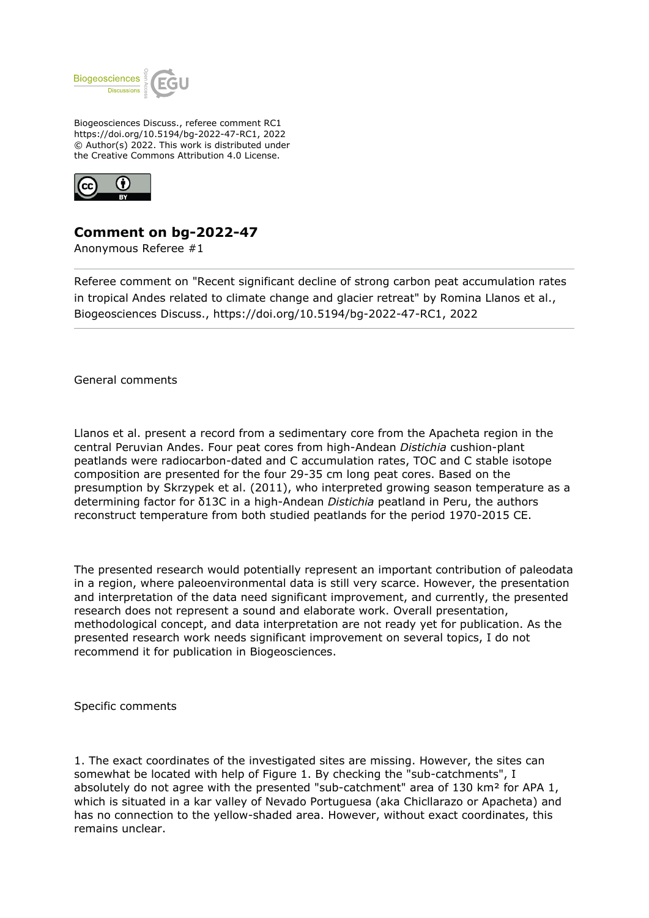

Biogeosciences Discuss., referee comment RC1 https://doi.org/10.5194/bg-2022-47-RC1, 2022 © Author(s) 2022. This work is distributed under the Creative Commons Attribution 4.0 License.



## **Comment on bg-2022-47**

Anonymous Referee #1

Referee comment on "Recent significant decline of strong carbon peat accumulation rates in tropical Andes related to climate change and glacier retreat" by Romina Llanos et al., Biogeosciences Discuss., https://doi.org/10.5194/bg-2022-47-RC1, 2022

General comments

Llanos et al. present a record from a sedimentary core from the Apacheta region in the central Peruvian Andes. Four peat cores from high-Andean *Distichia* cushion-plant peatlands were radiocarbon-dated and C accumulation rates, TOC and C stable isotope composition are presented for the four 29-35 cm long peat cores. Based on the presumption by Skrzypek et al. (2011), who interpreted growing season temperature as a determining factor for δ13C in a high-Andean *Distichia* peatland in Peru, the authors reconstruct temperature from both studied peatlands for the period 1970-2015 CE.

The presented research would potentially represent an important contribution of paleodata in a region, where paleoenvironmental data is still very scarce. However, the presentation and interpretation of the data need significant improvement, and currently, the presented research does not represent a sound and elaborate work. Overall presentation, methodological concept, and data interpretation are not ready yet for publication. As the presented research work needs significant improvement on several topics, I do not recommend it for publication in Biogeosciences.

Specific comments

1. The exact coordinates of the investigated sites are missing. However, the sites can somewhat be located with help of Figure 1. By checking the "sub-catchments", I absolutely do not agree with the presented "sub-catchment" area of 130 km<sup>2</sup> for APA 1, which is situated in a kar valley of Nevado Portuguesa (aka Chicllarazo or Apacheta) and has no connection to the yellow-shaded area. However, without exact coordinates, this remains unclear.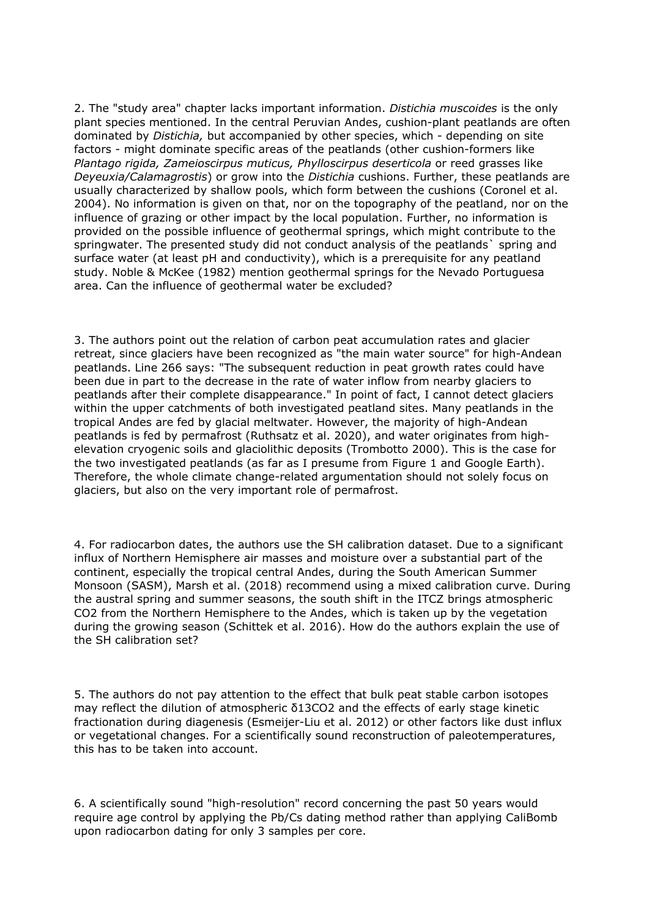2. The "study area" chapter lacks important information. *Distichia muscoides* is the only plant species mentioned. In the central Peruvian Andes, cushion-plant peatlands are often dominated by *Distichia,* but accompanied by other species, which - depending on site factors - might dominate specific areas of the peatlands (other cushion-formers like *Plantago rigida, Zameioscirpus muticus, Phylloscirpus deserticola* or reed grasses like *Deyeuxia/Calamagrostis*) or grow into the *Distichia* cushions. Further, these peatlands are usually characterized by shallow pools, which form between the cushions (Coronel et al. 2004). No information is given on that, nor on the topography of the peatland, nor on the influence of grazing or other impact by the local population. Further, no information is provided on the possible influence of geothermal springs, which might contribute to the springwater. The presented study did not conduct analysis of the peatlands` spring and surface water (at least pH and conductivity), which is a prerequisite for any peatland study. Noble & McKee (1982) mention geothermal springs for the Nevado Portuguesa area. Can the influence of geothermal water be excluded?

3. The authors point out the relation of carbon peat accumulation rates and glacier retreat, since glaciers have been recognized as "the main water source" for high-Andean peatlands. Line 266 says: "The subsequent reduction in peat growth rates could have been due in part to the decrease in the rate of water inflow from nearby glaciers to peatlands after their complete disappearance." In point of fact, I cannot detect glaciers within the upper catchments of both investigated peatland sites. Many peatlands in the tropical Andes are fed by glacial meltwater. However, the majority of high-Andean peatlands is fed by permafrost (Ruthsatz et al. 2020), and water originates from highelevation cryogenic soils and glaciolithic deposits (Trombotto 2000). This is the case for the two investigated peatlands (as far as I presume from Figure 1 and Google Earth). Therefore, the whole climate change-related argumentation should not solely focus on glaciers, but also on the very important role of permafrost.

4. For radiocarbon dates, the authors use the SH calibration dataset. Due to a significant influx of Northern Hemisphere air masses and moisture over a substantial part of the continent, especially the tropical central Andes, during the South American Summer Monsoon (SASM), Marsh et al. (2018) recommend using a mixed calibration curve. During the austral spring and summer seasons, the south shift in the ITCZ brings atmospheric CO2 from the Northern Hemisphere to the Andes, which is taken up by the vegetation during the growing season (Schittek et al. 2016). How do the authors explain the use of the SH calibration set?

5. The authors do not pay attention to the effect that bulk peat stable carbon isotopes may reflect the dilution of atmospheric δ13CO2 and the effects of early stage kinetic fractionation during diagenesis (Esmeijer-Liu et al. 2012) or other factors like dust influx or vegetational changes. For a scientifically sound reconstruction of paleotemperatures, this has to be taken into account.

6. A scientifically sound "high-resolution" record concerning the past 50 years would require age control by applying the Pb/Cs dating method rather than applying CaliBomb upon radiocarbon dating for only 3 samples per core.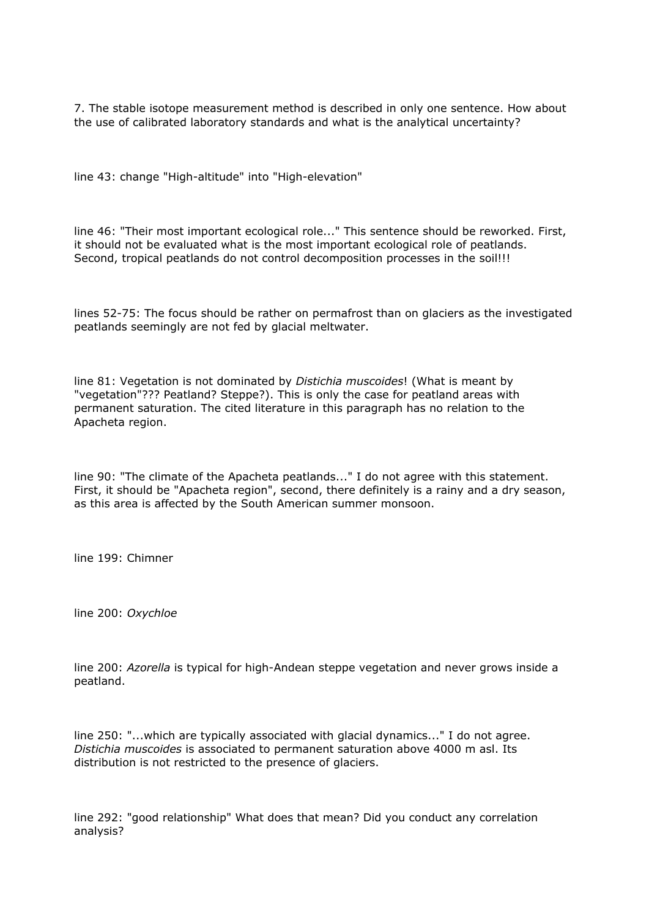7. The stable isotope measurement method is described in only one sentence. How about the use of calibrated laboratory standards and what is the analytical uncertainty?

line 43: change "High-altitude" into "High-elevation"

line 46: "Their most important ecological role..." This sentence should be reworked. First, it should not be evaluated what is the most important ecological role of peatlands. Second, tropical peatlands do not control decomposition processes in the soil!!!

lines 52-75: The focus should be rather on permafrost than on glaciers as the investigated peatlands seemingly are not fed by glacial meltwater.

line 81: Vegetation is not dominated by *Distichia muscoides*! (What is meant by "vegetation"??? Peatland? Steppe?). This is only the case for peatland areas with permanent saturation. The cited literature in this paragraph has no relation to the Apacheta region.

line 90: "The climate of the Apacheta peatlands..." I do not agree with this statement. First, it should be "Apacheta region", second, there definitely is a rainy and a dry season, as this area is affected by the South American summer monsoon.

line 199: Chimner

line 200: *Oxychloe*

line 200: *Azorella* is typical for high-Andean steppe vegetation and never grows inside a peatland.

line 250: "...which are typically associated with glacial dynamics..." I do not agree. *Distichia muscoides* is associated to permanent saturation above 4000 m asl. Its distribution is not restricted to the presence of glaciers.

line 292: "good relationship" What does that mean? Did you conduct any correlation analysis?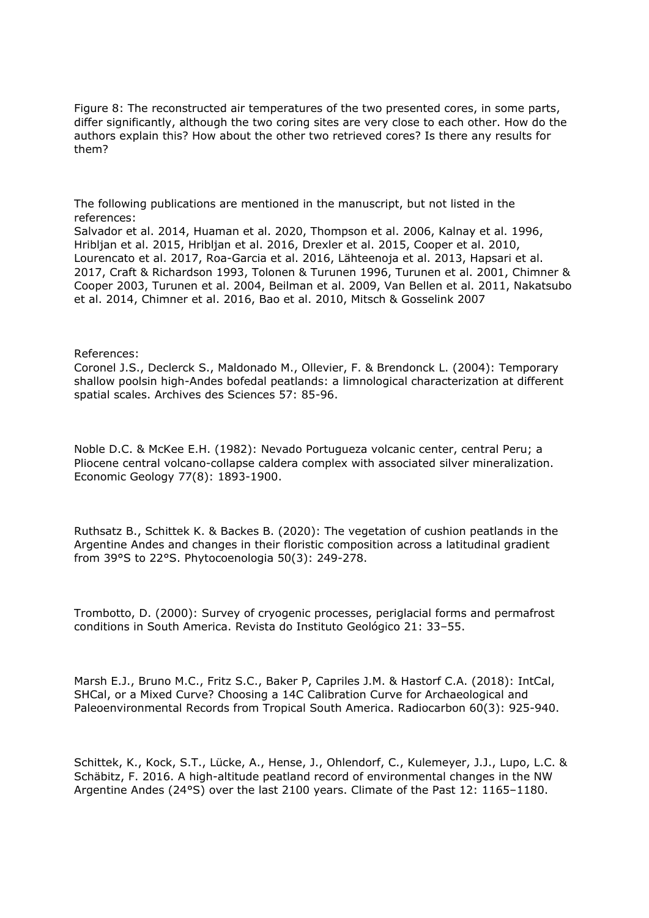Figure 8: The reconstructed air temperatures of the two presented cores, in some parts, differ significantly, although the two coring sites are very close to each other. How do the authors explain this? How about the other two retrieved cores? Is there any results for them?

The following publications are mentioned in the manuscript, but not listed in the references: Salvador et al. 2014, Huaman et al. 2020, Thompson et al. 2006, Kalnay et al. 1996, Hribljan et al. 2015, Hribljan et al. 2016, Drexler et al. 2015, Cooper et al. 2010, Lourencato et al. 2017, Roa-Garcia et al. 2016, Lähteenoja et al. 2013, Hapsari et al. 2017, Craft & Richardson 1993, Tolonen & Turunen 1996, Turunen et al. 2001, Chimner & Cooper 2003, Turunen et al. 2004, Beilman et al. 2009, Van Bellen et al. 2011, Nakatsubo et al. 2014, Chimner et al. 2016, Bao et al. 2010, Mitsch & Gosselink 2007

## References:

Coronel J.S., Declerck S., Maldonado M., Ollevier, F. & Brendonck L. (2004): Temporary shallow poolsin high-Andes bofedal peatlands: a limnological characterization at different spatial scales. Archives des Sciences 57: 85-96.

Noble D.C. & McKee E.H. (1982): Nevado Portugueza volcanic center, central Peru; a Pliocene central volcano-collapse caldera complex with associated silver mineralization. Economic Geology 77(8): 1893-1900.

Ruthsatz B., Schittek K. & Backes B. (2020): The vegetation of cushion peatlands in the Argentine Andes and changes in their floristic composition across a latitudinal gradient from 39°S to 22°S. Phytocoenologia 50(3): 249-278.

Trombotto, D. (2000): Survey of cryogenic processes, periglacial forms and permafrost conditions in South America. Revista do Instituto Geológico 21: 33–55.

Marsh E.J., Bruno M.C., Fritz S.C., Baker P, Capriles J.M. & Hastorf C.A. (2018): IntCal, SHCal, or a Mixed Curve? Choosing a 14C Calibration Curve for Archaeological and Paleoenvironmental Records from Tropical South America. Radiocarbon 60(3): 925-940.

Schittek, K., Kock, S.T., Lücke, A., Hense, J., Ohlendorf, C., Kulemeyer, J.J., Lupo, L.C. & Schäbitz, F. 2016. A high-altitude peatland record of environmental changes in the NW Argentine Andes (24°S) over the last 2100 years. Climate of the Past 12: 1165–1180.